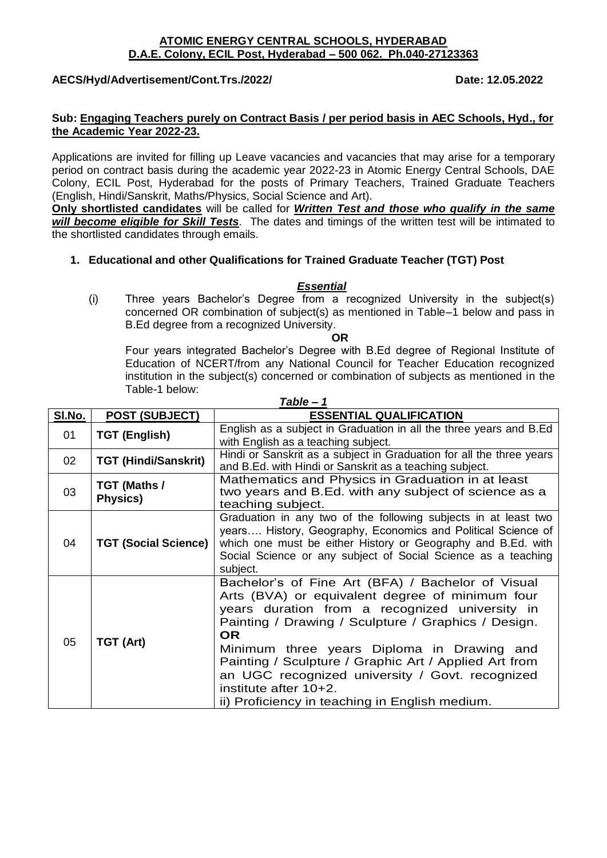#### **ATOMIC ENERGY CENTRAL SCHOOLS, HYDERABAD D.A.E. Colony, ECIL Post, Hyderabad – 500 062. Ph.040-27123363**

**AECS/Hyd/Advertisement/Cont.Trs./2022/ Date: 12.05.2022**

#### **Sub: Engaging Teachers purely on Contract Basis / per period basis in AEC Schools, Hyd., for the Academic Year 2022-23.**

Applications are invited for filling up Leave vacancies and vacancies that may arise for a temporary period on contract basis during the academic year 2022-23 in Atomic Energy Central Schools, DAE Colony, ECIL Post, Hyderabad for the posts of Primary Teachers, Trained Graduate Teachers (English, Hindi/Sanskrit, Maths/Physics, Social Science and Art).

**Only shortlisted candidates** will be called for *Written Test and those who qualify in the same will become eligible for Skill Tests*. The dates and timings of the written test will be intimated to the shortlisted candidates through emails.

## **1. Educational and other Qualifications for Trained Graduate Teacher (TGT) Post**

#### *Essential*

(i) Three years Bachelor's Degree from a recognized University in the subject(s) concerned OR combination of subject(s) as mentioned in Table–1 below and pass in B.Ed degree from a recognized University.

**OR**

Four years integrated Bachelor's Degree with B.Ed degree of Regional Institute of Education of NCERT/from any National Council for Teacher Education recognized institution in the subject(s) concerned or combination of subjects as mentioned in the Table-1 below: *Table – 1*

| 1 apie – 1 |                             |                                                                      |  |  |  |
|------------|-----------------------------|----------------------------------------------------------------------|--|--|--|
| SI.No.     | <b>POST (SUBJECT)</b>       | <b>ESSENTIAL QUALIFICATION</b>                                       |  |  |  |
| 01         | <b>TGT (English)</b>        | English as a subject in Graduation in all the three years and B.Ed   |  |  |  |
|            |                             | with English as a teaching subject.                                  |  |  |  |
| 02         | <b>TGT (Hindi/Sanskrit)</b> | Hindi or Sanskrit as a subject in Graduation for all the three years |  |  |  |
|            |                             | and B.Ed. with Hindi or Sanskrit as a teaching subject.              |  |  |  |
| 03         | TGT (Maths /<br>Physics)    | Mathematics and Physics in Graduation in at least                    |  |  |  |
|            |                             | two years and B.Ed. with any subject of science as a                 |  |  |  |
|            |                             | teaching subject.                                                    |  |  |  |
| 04         | <b>TGT (Social Science)</b> | Graduation in any two of the following subjects in at least two      |  |  |  |
|            |                             | years History, Geography, Economics and Political Science of         |  |  |  |
|            |                             | which one must be either History or Geography and B.Ed. with         |  |  |  |
|            |                             | Social Science or any subject of Social Science as a teaching        |  |  |  |
|            |                             | subject.                                                             |  |  |  |
|            | TGT (Art)                   | Bachelor's of Fine Art (BFA) / Bachelor of Visual                    |  |  |  |
|            |                             | Arts (BVA) or equivalent degree of minimum four                      |  |  |  |
|            |                             | years duration from a recognized university in                       |  |  |  |
|            |                             | Painting / Drawing / Sculpture / Graphics / Design.                  |  |  |  |
| 05         |                             | OR.                                                                  |  |  |  |
|            |                             | Minimum three years Diploma in Drawing and                           |  |  |  |
|            |                             | Painting / Sculpture / Graphic Art / Applied Art from                |  |  |  |
|            |                             | an UGC recognized university / Govt. recognized                      |  |  |  |
|            |                             | institute after 10+2.                                                |  |  |  |
|            |                             |                                                                      |  |  |  |
|            |                             | ii) Proficiency in teaching in English medium.                       |  |  |  |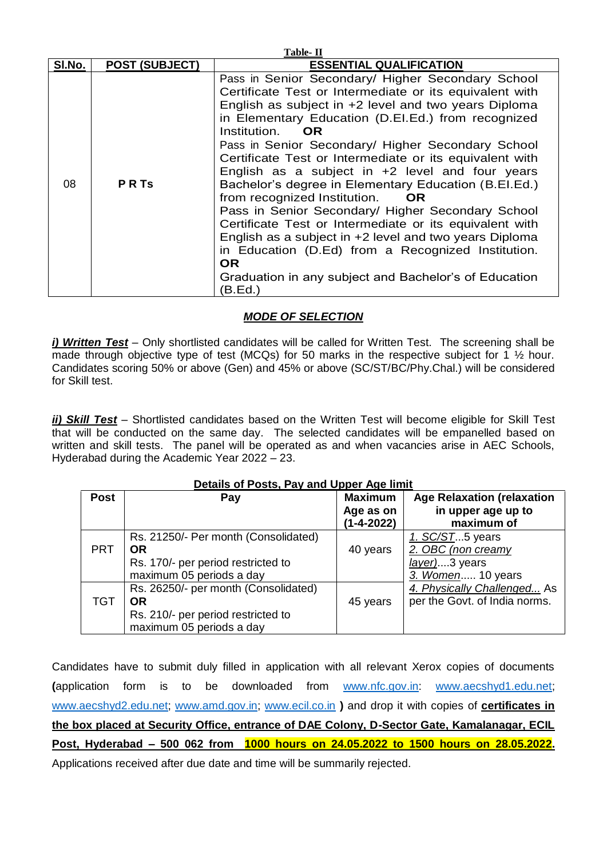| Table-II |                       |                                                                                                                                                                                                                                                                                                                                                                                                                                                                                                                                                                                                                                                                                                                                                                                                                                            |  |  |  |  |
|----------|-----------------------|--------------------------------------------------------------------------------------------------------------------------------------------------------------------------------------------------------------------------------------------------------------------------------------------------------------------------------------------------------------------------------------------------------------------------------------------------------------------------------------------------------------------------------------------------------------------------------------------------------------------------------------------------------------------------------------------------------------------------------------------------------------------------------------------------------------------------------------------|--|--|--|--|
| SI.No.   | <b>POST (SUBJECT)</b> | <b>ESSENTIAL QUALIFICATION</b>                                                                                                                                                                                                                                                                                                                                                                                                                                                                                                                                                                                                                                                                                                                                                                                                             |  |  |  |  |
| 08       | <b>PRTS</b>           | Pass in Senior Secondary/ Higher Secondary School<br>Certificate Test or Intermediate or its equivalent with<br>English as subject in +2 level and two years Diploma<br>in Elementary Education (D.EI.Ed.) from recognized<br>Institution.<br><b>OR</b><br>Pass in Senior Secondary/ Higher Secondary School<br>Certificate Test or Intermediate or its equivalent with<br>English as a subject in +2 level and four years<br>Bachelor's degree in Elementary Education (B.El.Ed.)<br>from recognized Institution.<br><b>OR</b><br>Pass in Senior Secondary/ Higher Secondary School<br>Certificate Test or Intermediate or its equivalent with<br>English as a subject in +2 level and two years Diploma<br>in Education (D.Ed) from a Recognized Institution.<br>OR.<br>Graduation in any subject and Bachelor's of Education<br>(B.Ed.) |  |  |  |  |

# *MODE OF SELECTION*

*i) Written Test* – Only shortlisted candidates will be called for Written Test. The screening shall be made through objective type of test (MCQs) for 50 marks in the respective subject for 1  $\frac{1}{2}$  hour. Candidates scoring 50% or above (Gen) and 45% or above (SC/ST/BC/Phy.Chal.) will be considered for Skill test.

*ii) Skill Test* – Shortlisted candidates based on the Written Test will become eligible for Skill Test that will be conducted on the same day. The selected candidates will be empanelled based on written and skill tests. The panel will be operated as and when vacancies arise in AEC Schools, Hyderabad during the Academic Year 2022 – 23.

| Details of Posts, Pay and Upper Age limit |                                      |                |                                   |  |  |  |  |
|-------------------------------------------|--------------------------------------|----------------|-----------------------------------|--|--|--|--|
| <b>Post</b>                               | Pay                                  | <b>Maximum</b> | <b>Age Relaxation (relaxation</b> |  |  |  |  |
|                                           |                                      | Age as on      | in upper age up to                |  |  |  |  |
|                                           |                                      | (1-4-2022)     | maximum of                        |  |  |  |  |
|                                           | Rs. 21250/- Per month (Consolidated) |                | 1. SC/ST5 years                   |  |  |  |  |
| <b>PRT</b>                                | <b>OR</b>                            | 40 years       | 2. OBC (non creamy                |  |  |  |  |
|                                           | Rs. 170/- per period restricted to   |                | layer)3 years                     |  |  |  |  |
|                                           | maximum 05 periods a day             |                | 3. Women 10 years                 |  |  |  |  |
|                                           | Rs. 26250/- per month (Consolidated) |                | 4. Physically Challenged As       |  |  |  |  |
| <b>TGT</b>                                | <b>OR</b>                            | 45 years       | per the Govt. of India norms.     |  |  |  |  |
|                                           | Rs. 210/- per period restricted to   |                |                                   |  |  |  |  |
|                                           | maximum 05 periods a day             |                |                                   |  |  |  |  |

Candidates have to submit duly filled in application with all relevant Xerox copies of documents **(**application form is to be downloaded from [www.nfc.gov.in:](http://www.nfc.gov.in/) [www.aecshyd1.edu.net;](http://www.aecshyd1.edu.net/) [www.aecshyd2.edu.net;](http://www.aecshyd2.edu.net/) [www.amd.gov.in;](http://www.amd.gov.in/) [www.ecil.co.in](http://www.ecil.co.in/) **)** and drop it with copies of **certificates in the box placed at Security Office, entrance of DAE Colony, D-Sector Gate, Kamalanagar, ECIL Post, Hyderabad – 500 062 from 1000 hours on 24.05.2022 to 1500 hours on 28.05.2022.** Applications received after due date and time will be summarily rejected.